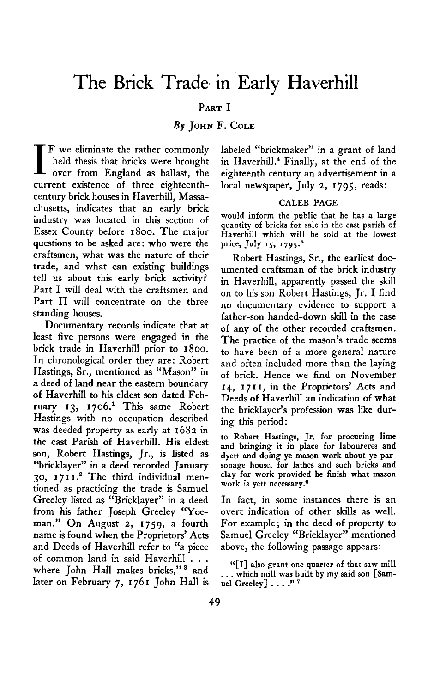# **The Brick Trade. in Early Haverhill**

# **PART I**

## **By JOHN F. COLE**

**I F we eliminate the rather commonly over from England as ballast, the held thesis that bricks were brought current existence of three eighteenthcentury brick houses in Haverhill, Massachusetts, indicates that an early brick industry was located in this section of Essex County before 1800. The major questions to be asked are: who were the craftsmen, what was the nature of their trade, and what can existing buildings tell us about this early brick activity? Part I will deal with the craftsmen and Part II will concentrate on the three standing houses.** 

**Documentary records indicate that at least five persons were engaged in the brick trade in Haverhill prior to 1800. In chronological order they are: Robert Hastings, Sr., mentioned as "Mason" in a deed of land near the eastern boundary of Haverhill to his eldest son dated February 13, 1706.~ This same Robert Hastings with no occupation described was deeded property as early at 1682 in the east Parish of Haverhill. His eldest son, Robert Hastings, Jr., is listed as "bricklayer" in a deed recorded January 30, 17 I I .' The third individual mentioned as practicing the trade is Samuel Greeley listed as "Bricklayer" in a deed from his father Joseph Greeley "Yoeman." On August 2, 1759, a fourth name is found when the Proprietors' Acts and Deeds of Haverhill refer to "a piece of common land in said Haverhill . . . where John Hall makes bricks," \* and later on February 7, I 761 John Hall is**  **labeled "brickmaker" in a grant of land in Haverhill.4 Finally, at the end of the eighteenth century an advertisement in a local newspaper, July 2, 1795, reads:** 

## **CALEB PAGE**

**would inform the public that he has a large quantity of bricks for sale in the east parish of Haverhill which will be sold at the lowest**  price, July 15, 1795.<sup>5</sup>

**Robert Hastings, Sr., the earliest documented craftsman of the brick industry in Haverhill, apparently passed the skill on to his son Robert Hastings, Jr. I find no documentary evidence to support a**  father-son handed-down skill in the case **of any of the other recorded craftsmen. The practice of the mason's trade seems to have been of a more general nature and often included more than the laying of brick. Hence we find on November 14, I 7 I I, in the Proprietors' Acts and Deeds of Haverhfil an indication of what the bricklayer's profession was like during this period:** 

**to Robert Hastings, Jr. for procuring lime and bringing it in place for laboureres and dyett and doing ye mason work about ye parsonage house, for lathes and such bricks and clay for work provided he finish what mason work is yett necessary.6** 

**In fact, in some instances there is an overt indication of other skills as well. For example ; in the deed of property to Samuel Greeley "Bricklayer" mentioned above, the following passage appears:** 

**"[I] also grant one quarter of that saw mill . . . which mill was built by my said son [Samuel Greeley] . . . ." 7**